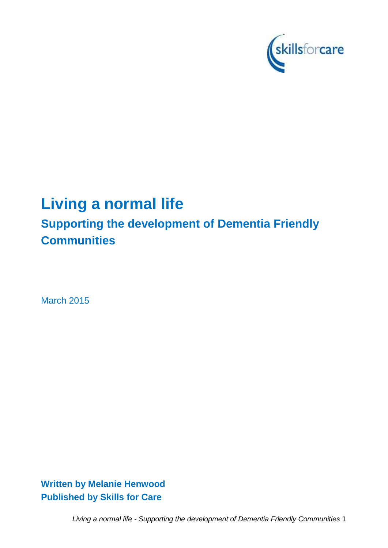

# **Living a normal life**

# **Supporting the development of Dementia Friendly Communities**

March 2015

**Written by Melanie Henwood Published by Skills for Care**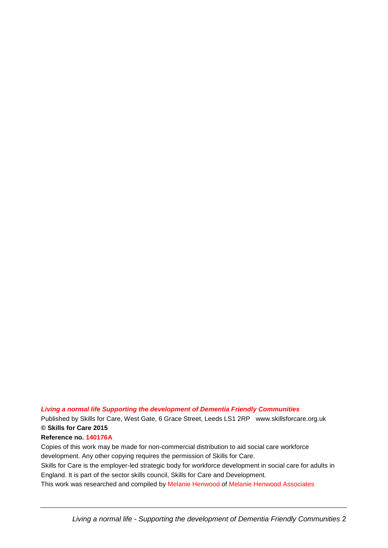### *Living a normal life Supporting the development of Dementia Friendly Communities*

Published by Skills for Care, West Gate, 6 Grace Street, Leeds LS1 2RP www.skillsforcare.org.uk **© Skills for Care 2015**

#### **Reference no. 140176A**

Copies of this work may be made for non-commercial distribution to aid social care workforce development. Any other copying requires the permission of Skills for Care. Skills for Care is the employer-led strategic body for workforce development in social care for adults in England. It is part of the sector skills council, Skills for Care and Development.

This work was researched and compiled by Melanie Henwood of Melanie Henwood Associates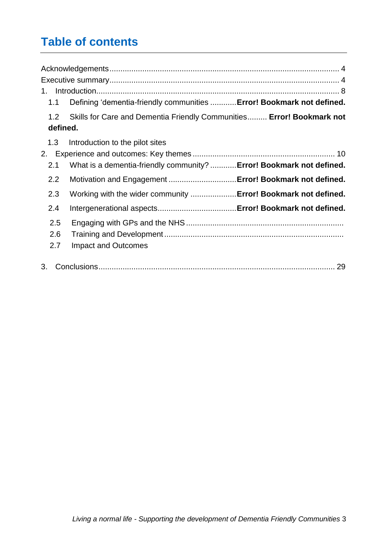# **Table of contents**

| $1_{\cdot}$     |                                                                       |  |
|-----------------|-----------------------------------------------------------------------|--|
| 1.1             | Defining 'dementia-friendly communities  Error! Bookmark not defined. |  |
| 1.2<br>defined. | Skills for Care and Dementia Friendly Communities Error! Bookmark not |  |
|                 |                                                                       |  |
| 1.3             | Introduction to the pilot sites                                       |  |
| 2.              |                                                                       |  |
| 2.1             | What is a dementia-friendly community?  Error! Bookmark not defined.  |  |
| 2.2             | Motivation and Engagement Error! Bookmark not defined.                |  |
| 2.3             | Working with the wider community  Error! Bookmark not defined.        |  |
| 2.4             |                                                                       |  |
| 2.5             |                                                                       |  |
| 2.6             |                                                                       |  |
| 2.7             | <b>Impact and Outcomes</b>                                            |  |
| 3.              |                                                                       |  |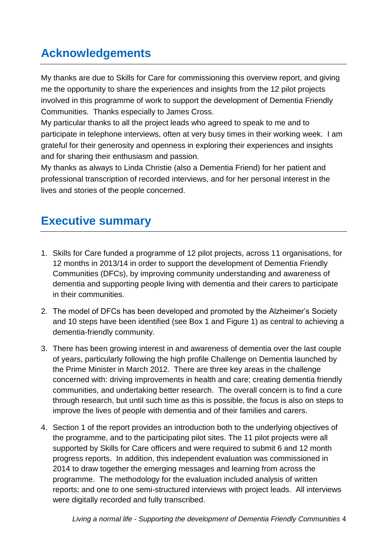# <span id="page-3-0"></span>**Acknowledgements**

My thanks are due to Skills for Care for commissioning this overview report, and giving me the opportunity to share the experiences and insights from the 12 pilot projects involved in this programme of work to support the development of Dementia Friendly Communities. Thanks especially to James Cross.

My particular thanks to all the project leads who agreed to speak to me and to participate in telephone interviews, often at very busy times in their working week. I am grateful for their generosity and openness in exploring their experiences and insights and for sharing their enthusiasm and passion.

My thanks as always to Linda Christie (also a Dementia Friend) for her patient and professional transcription of recorded interviews, and for her personal interest in the lives and stories of the people concerned.

# <span id="page-3-1"></span>**Executive summary**

- 1. Skills for Care funded a programme of 12 pilot projects, across 11 organisations, for 12 months in 2013/14 in order to support the development of Dementia Friendly Communities (DFCs), by improving community understanding and awareness of dementia and supporting people living with dementia and their carers to participate in their communities.
- 2. The model of DFCs has been developed and promoted by the Alzheimer"s Society and 10 steps have been identified (see Box 1 and Figure 1) as central to achieving a dementia-friendly community.
- 3. There has been growing interest in and awareness of dementia over the last couple of years, particularly following the high profile Challenge on Dementia launched by the Prime Minister in March 2012. There are three key areas in the challenge concerned with: driving improvements in health and care; creating dementia friendly communities, and undertaking better research. The overall concern is to find a cure through research, but until such time as this is possible, the focus is also on steps to improve the lives of people with dementia and of their families and carers.
- 4. Section 1 of the report provides an introduction both to the underlying objectives of the programme, and to the participating pilot sites. The 11 pilot projects were all supported by Skills for Care officers and were required to submit 6 and 12 month progress reports. In addition, this independent evaluation was commissioned in 2014 to draw together the emerging messages and learning from across the programme. The methodology for the evaluation included analysis of written reports; and one to one semi-structured interviews with project leads. All interviews were digitally recorded and fully transcribed.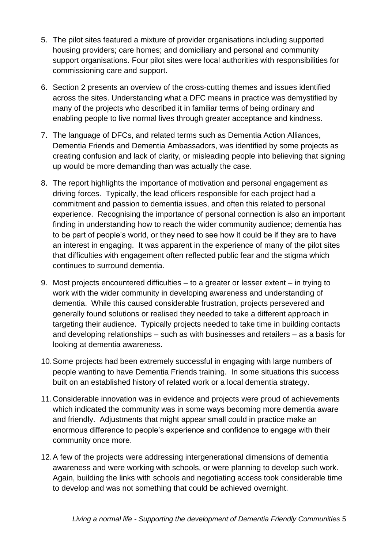- 5. The pilot sites featured a mixture of provider organisations including supported housing providers; care homes; and domiciliary and personal and community support organisations. Four pilot sites were local authorities with responsibilities for commissioning care and support.
- 6. Section 2 presents an overview of the cross-cutting themes and issues identified across the sites. Understanding what a DFC means in practice was demystified by many of the projects who described it in familiar terms of being ordinary and enabling people to live normal lives through greater acceptance and kindness.
- 7. The language of DFCs, and related terms such as Dementia Action Alliances, Dementia Friends and Dementia Ambassadors, was identified by some projects as creating confusion and lack of clarity, or misleading people into believing that signing up would be more demanding than was actually the case.
- 8. The report highlights the importance of motivation and personal engagement as driving forces. Typically, the lead officers responsible for each project had a commitment and passion to dementia issues, and often this related to personal experience. Recognising the importance of personal connection is also an important finding in understanding how to reach the wider community audience; dementia has to be part of people"s world, or they need to see how it could be if they are to have an interest in engaging. It was apparent in the experience of many of the pilot sites that difficulties with engagement often reflected public fear and the stigma which continues to surround dementia.
- 9. Most projects encountered difficulties to a greater or lesser extent in trying to work with the wider community in developing awareness and understanding of dementia. While this caused considerable frustration, projects persevered and generally found solutions or realised they needed to take a different approach in targeting their audience. Typically projects needed to take time in building contacts and developing relationships – such as with businesses and retailers – as a basis for looking at dementia awareness.
- 10.Some projects had been extremely successful in engaging with large numbers of people wanting to have Dementia Friends training. In some situations this success built on an established history of related work or a local dementia strategy.
- 11.Considerable innovation was in evidence and projects were proud of achievements which indicated the community was in some ways becoming more dementia aware and friendly. Adjustments that might appear small could in practice make an enormous difference to people"s experience and confidence to engage with their community once more.
- 12.A few of the projects were addressing intergenerational dimensions of dementia awareness and were working with schools, or were planning to develop such work. Again, building the links with schools and negotiating access took considerable time to develop and was not something that could be achieved overnight.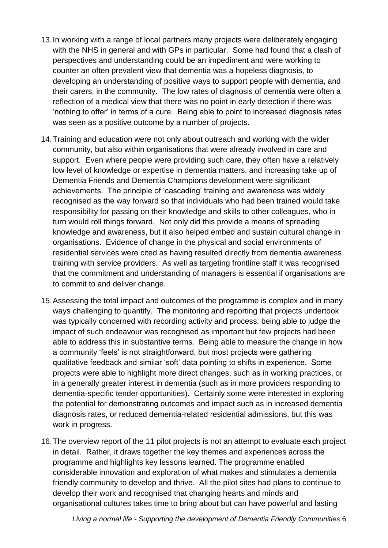- 13.In working with a range of local partners many projects were deliberately engaging with the NHS in general and with GPs in particular. Some had found that a clash of perspectives and understanding could be an impediment and were working to counter an often prevalent view that dementia was a hopeless diagnosis, to developing an understanding of positive ways to support people with dementia, and their carers, in the community. The low rates of diagnosis of dementia were often a reflection of a medical view that there was no point in early detection if there was "nothing to offer" in terms of a cure. Being able to point to increased diagnosis rates was seen as a positive outcome by a number of projects.
- 14.Training and education were not only about outreach and working with the wider community, but also within organisations that were already involved in care and support. Even where people were providing such care, they often have a relatively low level of knowledge or expertise in dementia matters, and increasing take up of Dementia Friends and Dementia Champions development were significant achievements. The principle of "cascading" training and awareness was widely recognised as the way forward so that individuals who had been trained would take responsibility for passing on their knowledge and skills to other colleagues, who in turn would roll things forward. Not only did this provide a means of spreading knowledge and awareness, but it also helped embed and sustain cultural change in organisations. Evidence of change in the physical and social environments of residential services were cited as having resulted directly from dementia awareness training with service providers. As well as targeting frontline staff it was recognised that the commitment and understanding of managers is essential if organisations are to commit to and deliver change.
- 15.Assessing the total impact and outcomes of the programme is complex and in many ways challenging to quantify. The monitoring and reporting that projects undertook was typically concerned with recording activity and process; being able to judge the impact of such endeavour was recognised as important but few projects had been able to address this in substantive terms. Being able to measure the change in how a community 'feels' is not straightforward, but most projects were gathering qualitative feedback and similar "soft" data pointing to shifts in experience. Some projects were able to highlight more direct changes, such as in working practices, or in a generally greater interest in dementia (such as in more providers responding to dementia-specific tender opportunities). Certainly some were interested in exploring the potential for demonstrating outcomes and impact such as in increased dementia diagnosis rates, or reduced dementia-related residential admissions, but this was work in progress.
- 16.The overview report of the 11 pilot projects is not an attempt to evaluate each project in detail. Rather, it draws together the key themes and experiences across the programme and highlights key lessons learned. The programme enabled considerable innovation and exploration of what makes and stimulates a dementia friendly community to develop and thrive. All the pilot sites had plans to continue to develop their work and recognised that changing hearts and minds and organisational cultures takes time to bring about but can have powerful and lasting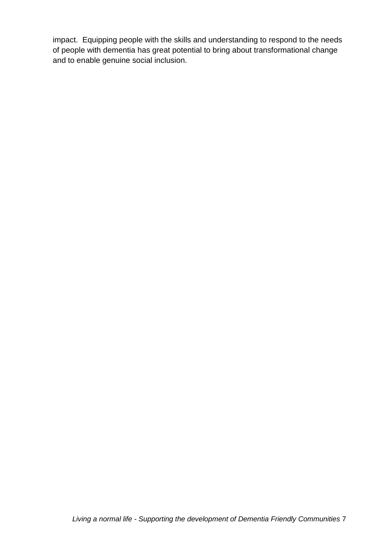impact. Equipping people with the skills and understanding to respond to the needs of people with dementia has great potential to bring about transformational change and to enable genuine social inclusion.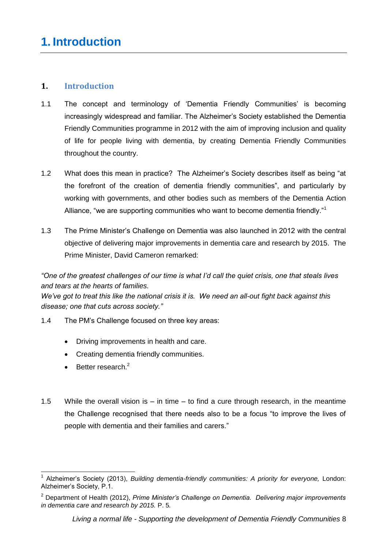# <span id="page-7-0"></span>**1. Introduction**

- 1.1 The concept and terminology of "Dementia Friendly Communities" is becoming increasingly widespread and familiar. The Alzheimer"s Society established the Dementia Friendly Communities programme in 2012 with the aim of improving inclusion and quality of life for people living with dementia, by creating Dementia Friendly Communities throughout the country.
- 1.2 What does this mean in practice? The Alzheimer"s Society describes itself as being "at the forefront of the creation of dementia friendly communities", and particularly by working with governments, and other bodies such as members of the Dementia Action Alliance, "we are supporting communities who want to become dementia friendly."<sup>1</sup>
- 1.3 The Prime Minister"s Challenge on Dementia was also launched in 2012 with the central objective of delivering major improvements in dementia care and research by 2015. The Prime Minister, David Cameron remarked:

*"One of the greatest challenges of our time is what I"d call the quiet crisis, one that steals lives and tears at the hearts of families.*

*We"ve got to treat this like the national crisis it is. We need an all-out fight back against this disease; one that cuts across society."* 

- 1.4 The PM"s Challenge focused on three key areas:
	- Driving improvements in health and care.
	- Creating dementia friendly communities.
	- $\bullet$  Better research.<sup>2</sup>
- 1.5 While the overall vision is in time to find a cure through research, in the meantime the Challenge recognised that there needs also to be a focus "to improve the lives of people with dementia and their families and carers."

 $\overline{a}$ 1 Alzheimer"s Society (2013), *Building dementia-friendly communities: A priority for everyone,* London: Alzheimer"s Society, P.1.

<sup>2</sup> Department of Health (2012), *Prime Minister"s Challenge on Dementia. Delivering major improvements in dementia care and research by 2015.* P. 5*.*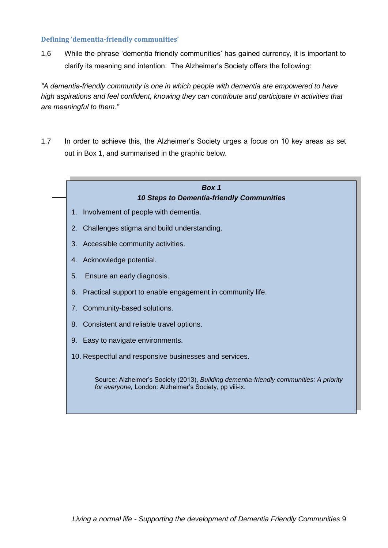#### **Defining 'dementia-friendly communities'**

1.6 While the phrase "dementia friendly communities" has gained currency, it is important to clarify its meaning and intention. The Alzheimer"s Society offers the following:

*"A dementia-friendly community is one in which people with dementia are empowered to have high aspirations and feel confident, knowing they can contribute and participate in activities that are meaningful to them."*

1.7 In order to achieve this, the Alzheimer"s Society urges a focus on 10 key areas as set out in Box 1, and summarised in the graphic below.

<span id="page-8-0"></span>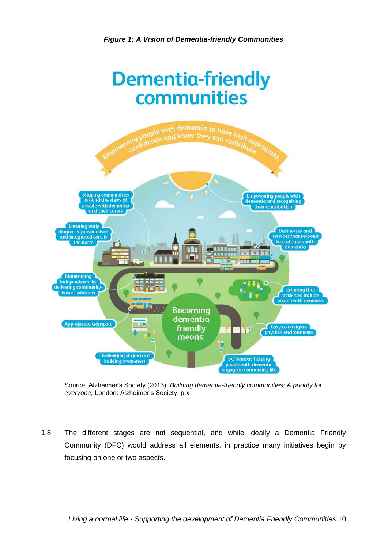



Source: Alzheimer"s Society (2013), *Building dementia-friendly communities: A priority for everyone,* London: Alzheimer"s Society, p.x

1.8 The different stages are not sequential, and while ideally a Dementia Friendly Community (DFC) would address all elements, in practice many initiatives begin by focusing on one or two aspects.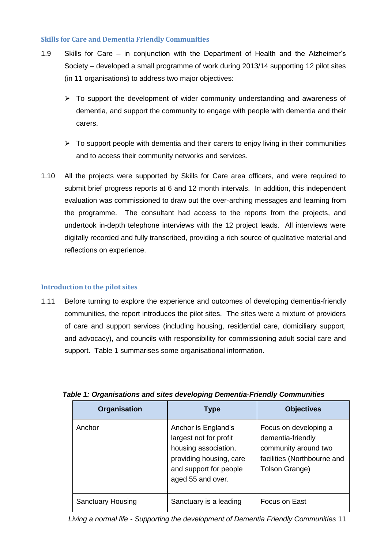#### **Skills for Care and Dementia Friendly Communities**

- 1.9 Skills for Care in conjunction with the Department of Health and the Alzheimer"s Society – developed a small programme of work during 2013/14 supporting 12 pilot sites (in 11 organisations) to address two major objectives:
	- $\triangleright$  To support the development of wider community understanding and awareness of dementia, and support the community to engage with people with dementia and their carers.
	- $\triangleright$  To support people with dementia and their carers to enjoy living in their communities and to access their community networks and services.
- 1.10 All the projects were supported by Skills for Care area officers, and were required to submit brief progress reports at 6 and 12 month intervals. In addition, this independent evaluation was commissioned to draw out the over-arching messages and learning from the programme. The consultant had access to the reports from the projects, and undertook in-depth telephone interviews with the 12 project leads. All interviews were digitally recorded and fully transcribed, providing a rich source of qualitative material and reflections on experience.

#### **Introduction to the pilot sites**

1.11 Before turning to explore the experience and outcomes of developing dementia-friendly communities, the report introduces the pilot sites. The sites were a mixture of providers of care and support services (including housing, residential care, domiciliary support, and advocacy), and councils with responsibility for commissioning adult social care and support. Table 1 summarises some organisational information.

| <b>Organisation</b>      | Type                                                                                                                                            | <b>Objectives</b>                                                                                                   |
|--------------------------|-------------------------------------------------------------------------------------------------------------------------------------------------|---------------------------------------------------------------------------------------------------------------------|
| Anchor                   | Anchor is England's<br>largest not for profit<br>housing association,<br>providing housing, care<br>and support for people<br>aged 55 and over. | Focus on developing a<br>dementia-friendly<br>community around two<br>facilities (Northbourne and<br>Tolson Grange) |
| <b>Sanctuary Housing</b> | Sanctuary is a leading                                                                                                                          | Focus on East                                                                                                       |

*Table 1: Organisations and sites developing Dementia-Friendly Communities*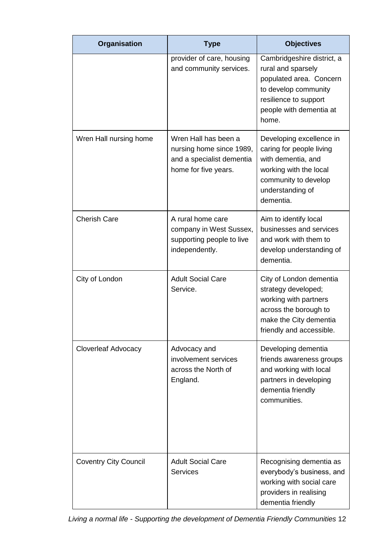| Organisation                 | <b>Type</b>                                                                                           | <b>Objectives</b>                                                                                                                                                |
|------------------------------|-------------------------------------------------------------------------------------------------------|------------------------------------------------------------------------------------------------------------------------------------------------------------------|
|                              | provider of care, housing<br>and community services.                                                  | Cambridgeshire district, a<br>rural and sparsely<br>populated area. Concern<br>to develop community<br>resilience to support<br>people with dementia at<br>home. |
| Wren Hall nursing home       | Wren Hall has been a<br>nursing home since 1989,<br>and a specialist dementia<br>home for five years. | Developing excellence in<br>caring for people living<br>with dementia, and<br>working with the local<br>community to develop<br>understanding of<br>dementia.    |
| <b>Cherish Care</b>          | A rural home care<br>company in West Sussex,<br>supporting people to live<br>independently.           | Aim to identify local<br>businesses and services<br>and work with them to<br>develop understanding of<br>dementia.                                               |
| City of London               | <b>Adult Social Care</b><br>Service.                                                                  | City of London dementia<br>strategy developed;<br>working with partners<br>across the borough to<br>make the City dementia<br>friendly and accessible.           |
| <b>Cloverleaf Advocacy</b>   | Advocacy and<br>involvement services<br>across the North of<br>England.                               | Developing dementia<br>friends awareness groups<br>and working with local<br>partners in developing<br>dementia friendly<br>communities.                         |
| <b>Coventry City Council</b> | <b>Adult Social Care</b><br><b>Services</b>                                                           | Recognising dementia as<br>everybody's business, and<br>working with social care<br>providers in realising<br>dementia friendly                                  |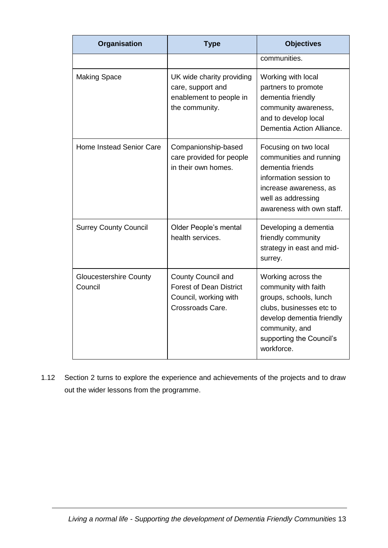| Organisation                             | <b>Type</b>                                                                                       | <b>Objectives</b>                                                                                                                                                                         |
|------------------------------------------|---------------------------------------------------------------------------------------------------|-------------------------------------------------------------------------------------------------------------------------------------------------------------------------------------------|
|                                          |                                                                                                   | communities.                                                                                                                                                                              |
| <b>Making Space</b>                      | UK wide charity providing<br>care, support and<br>enablement to people in<br>the community.       | Working with local<br>partners to promote<br>dementia friendly<br>community awareness,<br>and to develop local<br>Dementia Action Alliance.                                               |
| Home Instead Senior Care                 | Companionship-based<br>care provided for people<br>in their own homes.                            | Focusing on two local<br>communities and running<br>dementia friends<br>information session to<br>increase awareness, as<br>well as addressing<br>awareness with own staff.               |
| <b>Surrey County Council</b>             | Older People's mental<br>health services.                                                         | Developing a dementia<br>friendly community<br>strategy in east and mid-<br>surrey.                                                                                                       |
| <b>Gloucestershire County</b><br>Council | County Council and<br><b>Forest of Dean District</b><br>Council, working with<br>Crossroads Care. | Working across the<br>community with faith<br>groups, schools, lunch<br>clubs, businesses etc to<br>develop dementia friendly<br>community, and<br>supporting the Council's<br>workforce. |

1.12 Section 2 turns to explore the experience and achievements of the projects and to draw out the wider lessons from the programme.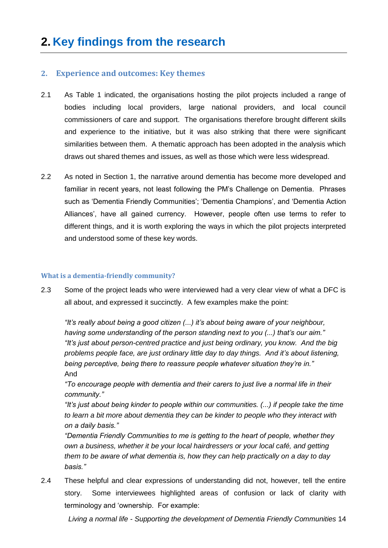### **2. Experience and outcomes: Key themes**

- 2.1 As Table 1 indicated, the organisations hosting the pilot projects included a range of bodies including local providers, large national providers, and local council commissioners of care and support. The organisations therefore brought different skills and experience to the initiative, but it was also striking that there were significant similarities between them. A thematic approach has been adopted in the analysis which draws out shared themes and issues, as well as those which were less widespread.
- 2.2 As noted in Section 1, the narrative around dementia has become more developed and familiar in recent years, not least following the PM"s Challenge on Dementia. Phrases such as 'Dementia Friendly Communities'; 'Dementia Champions', and 'Dementia Action Alliances', have all gained currency. However, people often use terms to refer to different things, and it is worth exploring the ways in which the pilot projects interpreted and understood some of these key words.

#### **What is a dementia-friendly community?**

2.3 Some of the project leads who were interviewed had a very clear view of what a DFC is all about, and expressed it succinctly. A few examples make the point:

*"It"s really about being a good citizen (...) it"s about being aware of your neighbour, having some understanding of the person standing next to you (...) that"s our aim." "It"s just about person-centred practice and just being ordinary, you know. And the big problems people face, are just ordinary little day to day things. And it"s about listening, being perceptive, being there to reassure people whatever situation they"re in."* And

*"To encourage people with dementia and their carers to just live a normal life in their community."*

*"It"s just about being kinder to people within our communities. (...) if people take the time to learn a bit more about dementia they can be kinder to people who they interact with on a daily basis."*

*"Dementia Friendly Communities to me is getting to the heart of people, whether they own a business, whether it be your local hairdressers or your local café, and getting them to be aware of what dementia is, how they can help practically on a day to day basis."* 

2.4 These helpful and clear expressions of understanding did not, however, tell the entire story. Some interviewees highlighted areas of confusion or lack of clarity with terminology and "ownership. For example: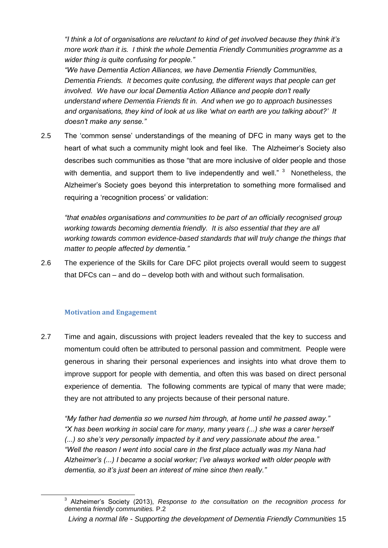*"I think a lot of organisations are reluctant to kind of get involved because they think it"s more work than it is. I think the whole Dementia Friendly Communities programme as a wider thing is quite confusing for people."*

*"We have Dementia Action Alliances, we have Dementia Friendly Communities, Dementia Friends. It becomes quite confusing, the different ways that people can get involved. We have our local Dementia Action Alliance and people don"t really understand where Dementia Friends fit in. And when we go to approach businesses and organisations, they kind of look at us like "what on earth are you talking about?" It doesn"t make any sense."* 

2.5 The "common sense" understandings of the meaning of DFC in many ways get to the heart of what such a community might look and feel like. The Alzheimer"s Society also describes such communities as those "that are more inclusive of older people and those with dementia, and support them to live independently and well."  $3$  Nonetheless, the Alzheimer"s Society goes beyond this interpretation to something more formalised and requiring a 'recognition process' or validation:

*"that enables organisations and communities to be part of an officially recognised group working towards becoming dementia friendly. It is also essential that they are all working towards common evidence-based standards that will truly change the things that matter to people affected by dementia."*

2.6 The experience of the Skills for Care DFC pilot projects overall would seem to suggest that DFCs can – and do – develop both with and without such formalisation.

### **Motivation and Engagement**

-

2.7 Time and again, discussions with project leaders revealed that the key to success and momentum could often be attributed to personal passion and commitment. People were generous in sharing their personal experiences and insights into what drove them to improve support for people with dementia, and often this was based on direct personal experience of dementia. The following comments are typical of many that were made; they are not attributed to any projects because of their personal nature.

*"My father had dementia so we nursed him through, at home until he passed away." "X has been working in social care for many, many years (...) she was a carer herself (...) so she"s very personally impacted by it and very passionate about the area." "Well the reason I went into social care in the first place actually was my Nana had Alzheimer"s (...) I became a social worker; I"ve always worked with older people with dementia, so it"s just been an interest of mine since then really."*

<sup>&</sup>lt;sup>3</sup> Alzheimer's Society (2013), *Response to the consultation on the recognition process for dementia friendly communities.* P.2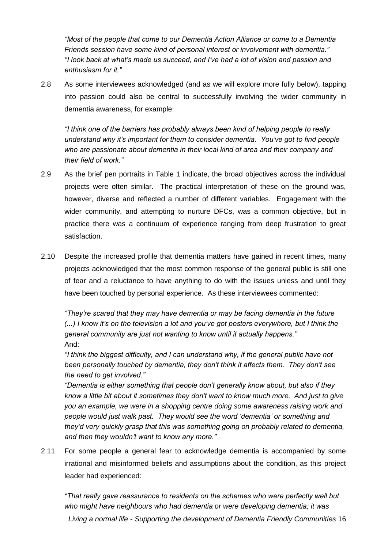*"Most of the people that come to our Dementia Action Alliance or come to a Dementia Friends session have some kind of personal interest or involvement with dementia." "I look back at what"s made us succeed, and I"ve had a lot of vision and passion and enthusiasm for it."*

2.8 As some interviewees acknowledged (and as we will explore more fully below), tapping into passion could also be central to successfully involving the wider community in dementia awareness, for example:

*"I think one of the barriers has probably always been kind of helping people to really understand why it"s important for them to consider dementia. You"ve got to find people who are passionate about dementia in their local kind of area and their company and their field of work."*

- 2.9 As the brief pen portraits in Table 1 indicate, the broad objectives across the individual projects were often similar. The practical interpretation of these on the ground was, however, diverse and reflected a number of different variables. Engagement with the wider community, and attempting to nurture DFCs, was a common objective, but in practice there was a continuum of experience ranging from deep frustration to great satisfaction.
- 2.10 Despite the increased profile that dementia matters have gained in recent times, many projects acknowledged that the most common response of the general public is still one of fear and a reluctance to have anything to do with the issues unless and until they have been touched by personal experience. As these interviewees commented:

*"They"re scared that they may have dementia or may be facing dementia in the future (...) I know it"s on the television a lot and you"ve got posters everywhere, but I think the general community are just not wanting to know until it actually happens."* And:

*"I think the biggest difficulty, and I can understand why, if the general public have not been personally touched by dementia, they don"t think it affects them. They don"t see the need to get involved."* 

*"Dementia is either something that people don"t generally know about, but also if they know a little bit about it sometimes they don"t want to know much more. And just to give you an example, we were in a shopping centre doing some awareness raising work and people would just walk past. They would see the word "dementia" or something and they"d very quickly grasp that this was something going on probably related to dementia, and then they wouldn"t want to know any more."*

2.11 For some people a general fear to acknowledge dementia is accompanied by some irrational and misinformed beliefs and assumptions about the condition, as this project leader had experienced:

*Living a normal life - Supporting the development of Dementia Friendly Communities* 16 *"That really gave reassurance to residents on the schemes who were perfectly well but who might have neighbours who had dementia or were developing dementia; it was*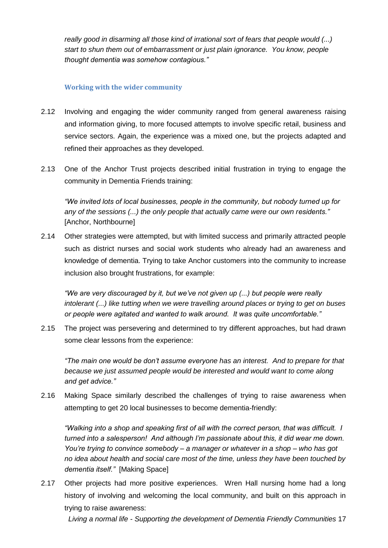*really good in disarming all those kind of irrational sort of fears that people would (...) start to shun them out of embarrassment or just plain ignorance. You know, people thought dementia was somehow contagious."*

### **Working with the wider community**

- 2.12 Involving and engaging the wider community ranged from general awareness raising and information giving, to more focused attempts to involve specific retail, business and service sectors. Again, the experience was a mixed one, but the projects adapted and refined their approaches as they developed.
- 2.13 One of the Anchor Trust projects described initial frustration in trying to engage the community in Dementia Friends training:

*"We invited lots of local businesses, people in the community, but nobody turned up for any of the sessions (...) the only people that actually came were our own residents."*  [Anchor, Northbourne]

2.14 Other strategies were attempted, but with limited success and primarily attracted people such as district nurses and social work students who already had an awareness and knowledge of dementia. Trying to take Anchor customers into the community to increase inclusion also brought frustrations, for example:

*"We are very discouraged by it, but we"ve not given up (...) but people were really intolerant (...) like tutting when we were travelling around places or trying to get on buses or people were agitated and wanted to walk around. It was quite uncomfortable."*

2.15 The project was persevering and determined to try different approaches, but had drawn some clear lessons from the experience:

*"The main one would be don"t assume everyone has an interest. And to prepare for that because we just assumed people would be interested and would want to come along and get advice."*

2.16 Making Space similarly described the challenges of trying to raise awareness when attempting to get 20 local businesses to become dementia-friendly:

*"Walking into a shop and speaking first of all with the correct person, that was difficult. I turned into a salesperson! And although I"m passionate about this, it did wear me down. You"re trying to convince somebody – a manager or whatever in a shop – who has got no idea about health and social care most of the time, unless they have been touched by dementia itself."* [Making Space]

2.17 Other projects had more positive experiences. Wren Hall nursing home had a long history of involving and welcoming the local community, and built on this approach in trying to raise awareness: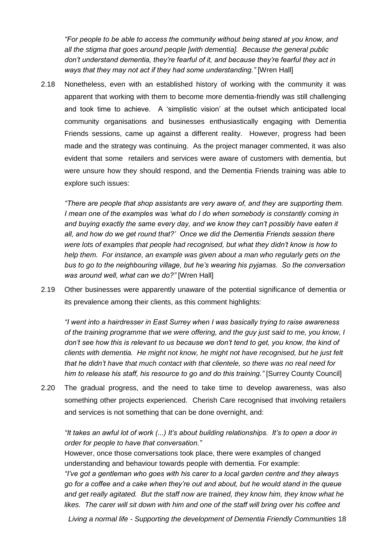*"For people to be able to access the community without being stared at you know, and all the stigma that goes around people [with dementia]. Because the general public don"t understand dementia, they"re fearful of it, and because they"re fearful they act in ways that they may not act if they had some understanding."* [Wren Hall]

2.18 Nonetheless, even with an established history of working with the community it was apparent that working with them to become more dementia-friendly was still challenging and took time to achieve. A "simplistic vision" at the outset which anticipated local community organisations and businesses enthusiastically engaging with Dementia Friends sessions, came up against a different reality. However, progress had been made and the strategy was continuing. As the project manager commented, it was also evident that some retailers and services were aware of customers with dementia, but were unsure how they should respond, and the Dementia Friends training was able to explore such issues:

*"There are people that shop assistants are very aware of, and they are supporting them. I mean one of the examples was "what do I do when somebody is constantly coming in and buying exactly the same every day, and we know they can"t possibly have eaten it all, and how do we get round that?" Once we did the Dementia Friends session there were lots of examples that people had recognised, but what they didn"t know is how to help them. For instance, an example was given about a man who regularly gets on the bus to go to the neighbouring village, but he"s wearing his pyjamas. So the conversation was around well, what can we do?"* [Wren Hall]

2.19 Other businesses were apparently unaware of the potential significance of dementia or its prevalence among their clients, as this comment highlights:

*"I went into a hairdresser in East Surrey when I was basically trying to raise awareness of the training programme that we were offering, and the guy just said to me, you know, I don"t see how this is relevant to us because we don"t tend to get, you know, the kind of clients with dementia. He might not know, he might not have recognised, but he just felt that he didn"t have that much contact with that clientele, so there was no real need for him to release his staff, his resource to go and do this training."* [Surrey County Council]

2.20 The gradual progress, and the need to take time to develop awareness, was also something other projects experienced. Cherish Care recognised that involving retailers and services is not something that can be done overnight, and:

*"It takes an awful lot of work (...) It"s about building relationships. It"s to open a door in order for people to have that conversation."*

However, once those conversations took place, there were examples of changed understanding and behaviour towards people with dementia. For example:

*"I"ve got a gentleman who goes with his carer to a local garden centre and they always go for a coffee and a cake when they"re out and about, but he would stand in the queue and get really agitated. But the staff now are trained, they know him, they know what he likes. The carer will sit down with him and one of the staff will bring over his coffee and*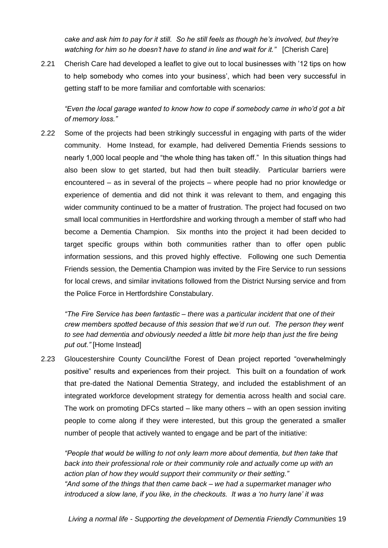*cake and ask him to pay for it still. So he still feels as though he"s involved, but they"re watching for him so he doesn"t have to stand in line and wait for it."* [Cherish Care]

2.21 Cherish Care had developed a leaflet to give out to local businesses with "12 tips on how to help somebody who comes into your business", which had been very successful in getting staff to be more familiar and comfortable with scenarios:

*"Even the local garage wanted to know how to cope if somebody came in who"d got a bit of memory loss."*

2.22 Some of the projects had been strikingly successful in engaging with parts of the wider community. Home Instead, for example, had delivered Dementia Friends sessions to nearly 1,000 local people and "the whole thing has taken off." In this situation things had also been slow to get started, but had then built steadily. Particular barriers were encountered – as in several of the projects – where people had no prior knowledge or experience of dementia and did not think it was relevant to them, and engaging this wider community continued to be a matter of frustration. The project had focused on two small local communities in Hertfordshire and working through a member of staff who had become a Dementia Champion. Six months into the project it had been decided to target specific groups within both communities rather than to offer open public information sessions, and this proved highly effective. Following one such Dementia Friends session, the Dementia Champion was invited by the Fire Service to run sessions for local crews, and similar invitations followed from the District Nursing service and from the Police Force in Hertfordshire Constabulary.

*"The Fire Service has been fantastic – there was a particular incident that one of their crew members spotted because of this session that we"d run out. The person they went to see had dementia and obviously needed a little bit more help than just the fire being put out."* [Home Instead]

2.23 Gloucestershire County Council/the Forest of Dean project reported "overwhelmingly positive" results and experiences from their project. This built on a foundation of work that pre-dated the National Dementia Strategy, and included the establishment of an integrated workforce development strategy for dementia across health and social care. The work on promoting DFCs started – like many others – with an open session inviting people to come along if they were interested, but this group the generated a smaller number of people that actively wanted to engage and be part of the initiative:

*"People that would be willing to not only learn more about dementia, but then take that back into their professional role or their community role and actually come up with an action plan of how they would support their community or their setting." "And some of the things that then came back – we had a supermarket manager who introduced a slow lane, if you like, in the checkouts. It was a "no hurry lane" it was*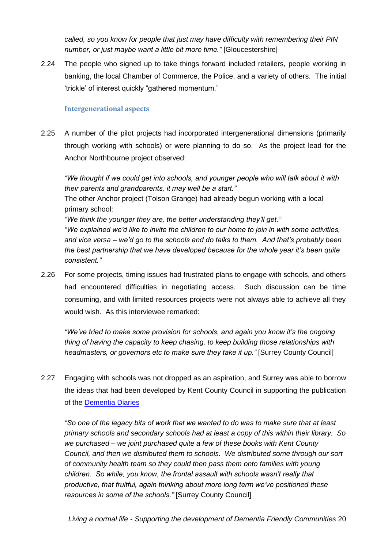*called, so you know for people that just may have difficulty with remembering their PIN number, or just maybe want a little bit more time."* [Gloucestershire]

2.24 The people who signed up to take things forward included retailers, people working in banking, the local Chamber of Commerce, the Police, and a variety of others. The initial "trickle" of interest quickly "gathered momentum."

### **Intergenerational aspects**

2.25 A number of the pilot projects had incorporated intergenerational dimensions (primarily through working with schools) or were planning to do so. As the project lead for the Anchor Northbourne project observed:

*"We thought if we could get into schools, and younger people who will talk about it with their parents and grandparents, it may well be a start."*

The other Anchor project (Tolson Grange) had already begun working with a local primary school:

*"We think the younger they are, the better understanding they"ll get." "We explained we"d like to invite the children to our home to join in with some activities, and vice versa – we"d go to the schools and do talks to them. And that"s probably been the best partnership that we have developed because for the whole year it"s been quite consistent."*

2.26 For some projects, timing issues had frustrated plans to engage with schools, and others had encountered difficulties in negotiating access. Such discussion can be time consuming, and with limited resources projects were not always able to achieve all they would wish. As this interviewee remarked:

*"We"ve tried to make some provision for schools, and again you know it"s the ongoing thing of having the capacity to keep chasing, to keep building those relationships with headmasters, or governors etc to make sure they take it up.* " [Surrey County Council]

2.27 Engaging with schools was not dropped as an aspiration, and Surrey was able to borrow the ideas that had been developed by Kent County Council in supporting the publication of the [Dementia Diaries](http://www.matthewsnyman.com/portfolio/the-dementia-diaries/)

*"So one of the legacy bits of work that we wanted to do was to make sure that at least primary schools and secondary schools had at least a copy of this within their library. So we purchased – we joint purchased quite a few of these books with Kent County Council, and then we distributed them to schools. We distributed some through our sort of community health team so they could then pass them onto families with young children. So while, you know, the frontal assault with schools wasn"t really that productive, that fruitful, again thinking about more long term we"ve positioned these resources in some of the schools."* [Surrey County Council]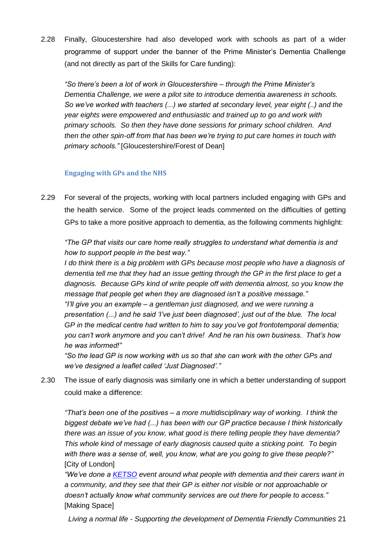2.28 Finally, Gloucestershire had also developed work with schools as part of a wider programme of support under the banner of the Prime Minister"s Dementia Challenge (and not directly as part of the Skills for Care funding):

*"So there"s been a lot of work in Gloucestershire – through the Prime Minister"s Dementia Challenge, we were a pilot site to introduce dementia awareness in schools. So we"ve worked with teachers (...) we started at secondary level, year eight (..) and the year eights were empowered and enthusiastic and trained up to go and work with primary schools. So then they have done sessions for primary school children. And then the other spin-off from that has been we"re trying to put care homes in touch with primary schools."* [Gloucestershire/Forest of Dean]

## **Engaging with GPs and the NHS**

2.29 For several of the projects, working with local partners included engaging with GPs and the health service. Some of the project leads commented on the difficulties of getting GPs to take a more positive approach to dementia, as the following comments highlight:

*"The GP that visits our care home really struggles to understand what dementia is and how to support people in the best way."*

*I do think there is a big problem with GPs because most people who have a diagnosis of dementia tell me that they had an issue getting through the GP in the first place to get a diagnosis. Because GPs kind of write people off with dementia almost, so you know the message that people get when they are diagnosed isn"t a positive message." "I"ll give you an example – a gentleman just diagnosed, and we were running a presentation (...) and he said "I"ve just been diagnosed", just out of the blue. The local GP in the medical centre had written to him to say you"ve got frontotemporal dementia; you can"t work anymore and you can"t drive! And he ran his own business. That"s how he was informed!"*

*"So the lead GP is now working with us so that she can work with the other GPs and we"ve designed a leaflet called "Just Diagnosed"."* 

2.30 The issue of early diagnosis was similarly one in which a better understanding of support could make a difference:

*"That"s been one of the positives – a more multidisciplinary way of working. I think the biggest debate we"ve had (...) has been with our GP practice because I think historically there was an issue of you know, what good is there telling people they have dementia? This whole kind of message of early diagnosis caused quite a sticking point. To begin with there was a sense of, well, you know, what are you going to give these people?"*  [City of London]

*"We"ve done a [KETSO](http://www.ketso.com/learn-about-ketso) event around what people with dementia and their carers want in a community, and they see that their GP is either not visible or not approachable or doesn"t actually know what community services are out there for people to access."*  [Making Space]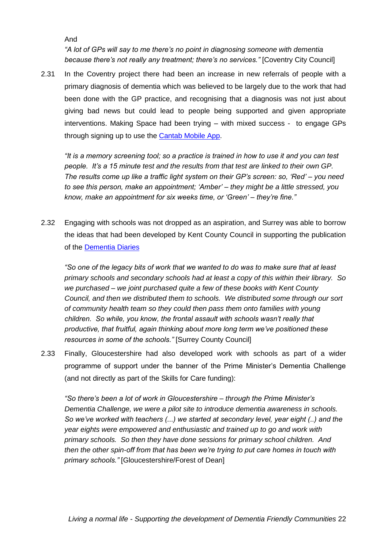And

*"A lot of GPs will say to me there"s no point in diagnosing someone with dementia because there"s not really any treatment; there"s no services."* [Coventry City Council]

2.31 In the Coventry project there had been an increase in new referrals of people with a primary diagnosis of dementia which was believed to be largely due to the work that had been done with the GP practice, and recognising that a diagnosis was not just about giving bad news but could lead to people being supported and given appropriate interventions. Making Space had been trying – with mixed success - to engage GPs through signing up to use the [Cantab Mobile App.](http://www.cambridgecognition.com/healthcare/cantabmobile)

*"It is a memory screening tool; so a practice is trained in how to use it and you can test people. It"s a 15 minute test and the results from that test are linked to their own GP. The results come up like a traffic light system on their GP"s screen: so, "Red" – you need to see this person, make an appointment; "Amber" – they might be a little stressed, you know, make an appointment for six weeks time, or "Green" – they"re fine."*

2.32 Engaging with schools was not dropped as an aspiration, and Surrey was able to borrow the ideas that had been developed by Kent County Council in supporting the publication of the [Dementia Diaries](http://www.matthewsnyman.com/portfolio/the-dementia-diaries/)

*"So one of the legacy bits of work that we wanted to do was to make sure that at least primary schools and secondary schools had at least a copy of this within their library. So we purchased – we joint purchased quite a few of these books with Kent County Council, and then we distributed them to schools. We distributed some through our sort of community health team so they could then pass them onto families with young children. So while, you know, the frontal assault with schools wasn"t really that productive, that fruitful, again thinking about more long term we"ve positioned these resources in some of the schools."* [Surrey County Council]

2.33 Finally, Gloucestershire had also developed work with schools as part of a wider programme of support under the banner of the Prime Minister"s Dementia Challenge (and not directly as part of the Skills for Care funding):

*"So there"s been a lot of work in Gloucestershire – through the Prime Minister"s Dementia Challenge, we were a pilot site to introduce dementia awareness in schools. So we"ve worked with teachers (...) we started at secondary level, year eight (..) and the year eights were empowered and enthusiastic and trained up to go and work with primary schools. So then they have done sessions for primary school children. And then the other spin-off from that has been we"re trying to put care homes in touch with primary schools."* [Gloucestershire/Forest of Dean]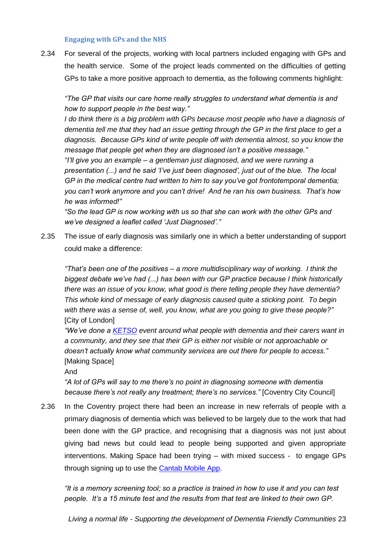#### **Engaging with GPs and the NHS**

2.34 For several of the projects, working with local partners included engaging with GPs and the health service. Some of the project leads commented on the difficulties of getting GPs to take a more positive approach to dementia, as the following comments highlight:

*"The GP that visits our care home really struggles to understand what dementia is and how to support people in the best way."*

*I* do think there is a big problem with GPs because most people who have a diagnosis of *dementia tell me that they had an issue getting through the GP in the first place to get a diagnosis. Because GPs kind of write people off with dementia almost, so you know the message that people get when they are diagnosed isn"t a positive message."* 

*"I"ll give you an example – a gentleman just diagnosed, and we were running a presentation (...) and he said "I"ve just been diagnosed", just out of the blue. The local GP in the medical centre had written to him to say you"ve got frontotemporal dementia; you can"t work anymore and you can"t drive! And he ran his own business. That"s how he was informed!"*

*"So the lead GP is now working with us so that she can work with the other GPs and we"ve designed a leaflet called "Just Diagnosed"."* 

2.35 The issue of early diagnosis was similarly one in which a better understanding of support could make a difference:

*"That"s been one of the positives – a more multidisciplinary way of working. I think the biggest debate we"ve had (...) has been with our GP practice because I think historically there was an issue of you know, what good is there telling people they have dementia? This whole kind of message of early diagnosis caused quite a sticking point. To begin with there was a sense of, well, you know, what are you going to give these people?"*  **[City of London]** 

*"We"ve done a [KETSO](http://www.ketso.com/learn-about-ketso) event around what people with dementia and their carers want in a community, and they see that their GP is either not visible or not approachable or doesn"t actually know what community services are out there for people to access."*  [Making Space]

And

*"A lot of GPs will say to me there"s no point in diagnosing someone with dementia because there"s not really any treatment; there"s no services."* [Coventry City Council]

2.36 In the Coventry project there had been an increase in new referrals of people with a primary diagnosis of dementia which was believed to be largely due to the work that had been done with the GP practice, and recognising that a diagnosis was not just about giving bad news but could lead to people being supported and given appropriate interventions. Making Space had been trying – with mixed success - to engage GPs through signing up to use the [Cantab Mobile App.](http://www.cambridgecognition.com/healthcare/cantabmobile)

*"It is a memory screening tool; so a practice is trained in how to use it and you can test people. It"s a 15 minute test and the results from that test are linked to their own GP.*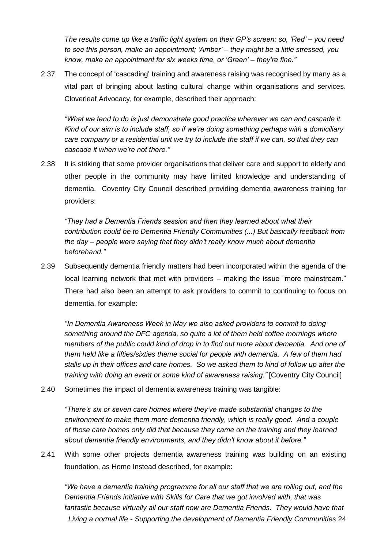*The results come up like a traffic light system on their GP"s screen: so, "Red" – you need to see this person, make an appointment; "Amber" – they might be a little stressed, you know, make an appointment for six weeks time, or "Green" – they"re fine."*

2.37 The concept of "cascading" training and awareness raising was recognised by many as a vital part of bringing about lasting cultural change within organisations and services. Cloverleaf Advocacy, for example, described their approach:

*"What we tend to do is just demonstrate good practice wherever we can and cascade it. Kind of our aim is to include staff, so if we"re doing something perhaps with a domiciliary care company or a residential unit we try to include the staff if we can, so that they can cascade it when we"re not there."*

2.38 It is striking that some provider organisations that deliver care and support to elderly and other people in the community may have limited knowledge and understanding of dementia. Coventry City Council described providing dementia awareness training for providers:

*"They had a Dementia Friends session and then they learned about what their contribution could be to Dementia Friendly Communities (...) But basically feedback from the day – people were saying that they didn"t really know much about dementia beforehand."*

2.39 Subsequently dementia friendly matters had been incorporated within the agenda of the local learning network that met with providers – making the issue "more mainstream." There had also been an attempt to ask providers to commit to continuing to focus on dementia, for example:

*"In Dementia Awareness Week in May we also asked providers to commit to doing something around the DFC agenda, so quite a lot of them held coffee mornings where members of the public could kind of drop in to find out more about dementia. And one of them held like a fifties/sixties theme social for people with dementia. A few of them had stalls up in their offices and care homes. So we asked them to kind of follow up after the training with doing an event or some kind of awareness raising."* [Coventry City Council]

2.40 Sometimes the impact of dementia awareness training was tangible:

*"There"s six or seven care homes where they"ve made substantial changes to the environment to make them more dementia friendly, which is really good. And a couple of those care homes only did that because they came on the training and they learned about dementia friendly environments, and they didn"t know about it before."*

2.41 With some other projects dementia awareness training was building on an existing foundation, as Home Instead described, for example:

*Living a normal life - Supporting the development of Dementia Friendly Communities* 24 *"We have a dementia training programme for all our staff that we are rolling out, and the Dementia Friends initiative with Skills for Care that we got involved with, that was fantastic because virtually all our staff now are Dementia Friends. They would have that*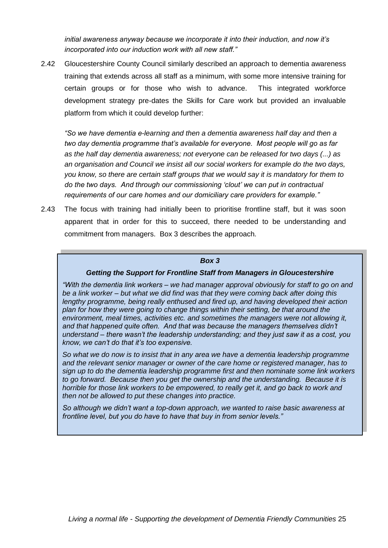*initial awareness anyway because we incorporate it into their induction, and now it"s incorporated into our induction work with all new staff."*

2.42 Gloucestershire County Council similarly described an approach to dementia awareness training that extends across all staff as a minimum, with some more intensive training for certain groups or for those who wish to advance. This integrated workforce development strategy pre-dates the Skills for Care work but provided an invaluable platform from which it could develop further:

*"So we have dementia e-learning and then a dementia awareness half day and then a two day dementia programme that"s available for everyone. Most people will go as far as the half day dementia awareness; not everyone can be released for two days (...) as an organisation and Council we insist all our social workers for example do the two days, you know, so there are certain staff groups that we would say it is mandatory for them to do the two days. And through our commissioning "clout" we can put in contractual requirements of our care homes and our domiciliary care providers for example."* 

2.43 The focus with training had initially been to prioritise frontline staff, but it was soon apparent that in order for this to succeed, there needed to be understanding and commitment from managers. Box 3 describes the approach.

#### *Box 3*

#### *Getting the Support for Frontline Staff from Managers in Gloucestershire*

*"With the dementia link workers – we had manager approval obviously for staff to go on and be a link worker – but what we did find was that they were coming back after doing this lengthy programme, being really enthused and fired up, and having developed their action plan for how they were going to change things within their setting, be that around the environment, meal times, activities etc. and sometimes the managers were not allowing it, and that happened quite often. And that was because the managers themselves didn"t understand – there wasn"t the leadership understanding; and they just saw it as a cost, you know, we can"t do that it"s too expensive.*

*So what we do now is to insist that in any area we have a dementia leadership programme and the relevant senior manager or owner of the care home or registered manager, has to sign up to do the dementia leadership programme first and then nominate some link workers to go forward. Because then you get the ownership and the understanding. Because it is horrible for those link workers to be empowered, to really get it, and go back to work and then not be allowed to put these changes into practice.*

*So although we didn"t want a top-down approach, we wanted to raise basic awareness at frontline level, but you do have to have that buy in from senior levels."*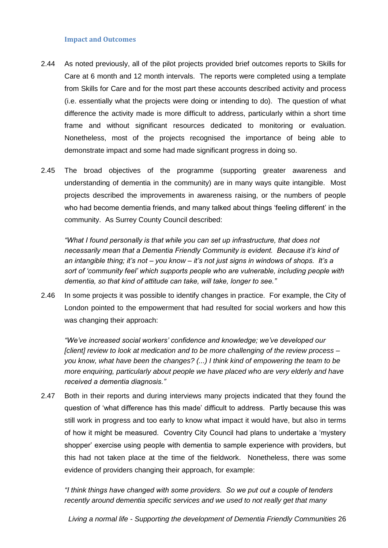#### **Impact and Outcomes**

- 2.44 As noted previously, all of the pilot projects provided brief outcomes reports to Skills for Care at 6 month and 12 month intervals. The reports were completed using a template from Skills for Care and for the most part these accounts described activity and process (i.e. essentially what the projects were doing or intending to do). The question of what difference the activity made is more difficult to address, particularly within a short time frame and without significant resources dedicated to monitoring or evaluation. Nonetheless, most of the projects recognised the importance of being able to demonstrate impact and some had made significant progress in doing so.
- 2.45 The broad objectives of the programme (supporting greater awareness and understanding of dementia in the community) are in many ways quite intangible. Most projects described the improvements in awareness raising, or the numbers of people who had become dementia friends, and many talked about things "feeling different" in the community. As Surrey County Council described:

*"What I found personally is that while you can set up infrastructure, that does not necessarily mean that a Dementia Friendly Community is evident. Because it"s kind of an intangible thing; it"s not – you know – it"s not just signs in windows of shops. It"s a sort of "community feel" which supports people who are vulnerable, including people with dementia, so that kind of attitude can take, will take, longer to see."*

2.46 In some projects it was possible to identify changes in practice. For example, the City of London pointed to the empowerment that had resulted for social workers and how this was changing their approach:

*"We"ve increased social workers" confidence and knowledge; we"ve developed our [client] review to look at medication and to be more challenging of the review process – you know, what have been the changes? (...) I think kind of empowering the team to be more enquiring, particularly about people we have placed who are very elderly and have received a dementia diagnosis."*

2.47 Both in their reports and during interviews many projects indicated that they found the question of "what difference has this made" difficult to address. Partly because this was still work in progress and too early to know what impact it would have, but also in terms of how it might be measured. Coventry City Council had plans to undertake a "mystery shopper" exercise using people with dementia to sample experience with providers, but this had not taken place at the time of the fieldwork. Nonetheless, there was some evidence of providers changing their approach, for example:

*"I think things have changed with some providers. So we put out a couple of tenders recently around dementia specific services and we used to not really get that many*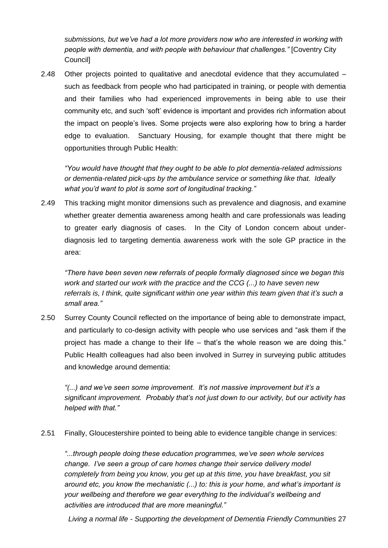*submissions, but we"ve had a lot more providers now who are interested in working with people with dementia, and with people with behaviour that challenges."* [Coventry City Council]

2.48 Other projects pointed to qualitative and anecdotal evidence that they accumulated – such as feedback from people who had participated in training, or people with dementia and their families who had experienced improvements in being able to use their community etc, and such "soft" evidence is important and provides rich information about the impact on people"s lives. Some projects were also exploring how to bring a harder edge to evaluation. Sanctuary Housing, for example thought that there might be opportunities through Public Health:

*"You would have thought that they ought to be able to plot dementia-related admissions or dementia-related pick-ups by the ambulance service or something like that. Ideally what you"d want to plot is some sort of longitudinal tracking."*

2.49 This tracking might monitor dimensions such as prevalence and diagnosis, and examine whether greater dementia awareness among health and care professionals was leading to greater early diagnosis of cases. In the City of London concern about underdiagnosis led to targeting dementia awareness work with the sole GP practice in the area:

*"There have been seven new referrals of people formally diagnosed since we began this work and started our work with the practice and the CCG (...) to have seven new referrals is, I think, quite significant within one year within this team given that it"s such a small area."*

2.50 Surrey County Council reflected on the importance of being able to demonstrate impact, and particularly to co-design activity with people who use services and "ask them if the project has made a change to their life – that"s the whole reason we are doing this." Public Health colleagues had also been involved in Surrey in surveying public attitudes and knowledge around dementia:

*"(...) and we"ve seen some improvement. It"s not massive improvement but it"s a significant improvement. Probably that"s not just down to our activity, but our activity has helped with that."* 

2.51 Finally, Gloucestershire pointed to being able to evidence tangible change in services:

*"...through people doing these education programmes, we"ve seen whole services change. I"ve seen a group of care homes change their service delivery model completely from being you know, you get up at this time, you have breakfast, you sit around etc, you know the mechanistic (...) to: this is your home, and what"s important is your wellbeing and therefore we gear everything to the individual"s wellbeing and activities are introduced that are more meaningful."*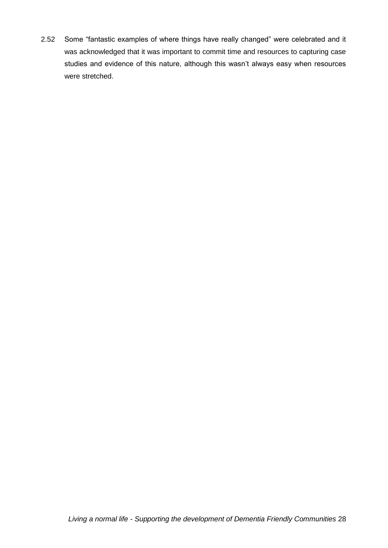2.52 Some "fantastic examples of where things have really changed" were celebrated and it was acknowledged that it was important to commit time and resources to capturing case studies and evidence of this nature, although this wasn't always easy when resources were stretched.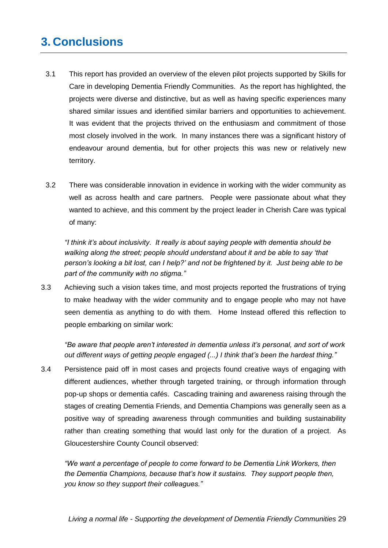# <span id="page-28-0"></span>**3. Conclusions**

- 3.1 This report has provided an overview of the eleven pilot projects supported by Skills for Care in developing Dementia Friendly Communities. As the report has highlighted, the projects were diverse and distinctive, but as well as having specific experiences many shared similar issues and identified similar barriers and opportunities to achievement. It was evident that the projects thrived on the enthusiasm and commitment of those most closely involved in the work. In many instances there was a significant history of endeavour around dementia, but for other projects this was new or relatively new territory.
- 3.2 There was considerable innovation in evidence in working with the wider community as well as across health and care partners. People were passionate about what they wanted to achieve, and this comment by the project leader in Cherish Care was typical of many:

*"I think it"s about inclusivity. It really is about saying people with dementia should be walking along the street; people should understand about it and be able to say "that person"s looking a bit lost, can I help?" and not be frightened by it. Just being able to be part of the community with no stigma."*

3.3 Achieving such a vision takes time, and most projects reported the frustrations of trying to make headway with the wider community and to engage people who may not have seen dementia as anything to do with them. Home Instead offered this reflection to people embarking on similar work:

*"Be aware that people aren"t interested in dementia unless it"s personal, and sort of work out different ways of getting people engaged (...) I think that"s been the hardest thing."*

3.4 Persistence paid off in most cases and projects found creative ways of engaging with different audiences, whether through targeted training, or through information through pop-up shops or dementia cafés. Cascading training and awareness raising through the stages of creating Dementia Friends, and Dementia Champions was generally seen as a positive way of spreading awareness through communities and building sustainability rather than creating something that would last only for the duration of a project. As Gloucestershire County Council observed:

*"We want a percentage of people to come forward to be Dementia Link Workers, then the Dementia Champions, because that"s how it sustains. They support people then, you know so they support their colleagues."*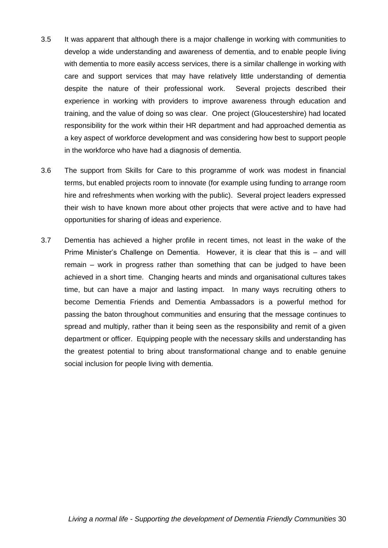- 3.5 It was apparent that although there is a major challenge in working with communities to develop a wide understanding and awareness of dementia, and to enable people living with dementia to more easily access services, there is a similar challenge in working with care and support services that may have relatively little understanding of dementia despite the nature of their professional work. Several projects described their experience in working with providers to improve awareness through education and training, and the value of doing so was clear. One project (Gloucestershire) had located responsibility for the work within their HR department and had approached dementia as a key aspect of workforce development and was considering how best to support people in the workforce who have had a diagnosis of dementia.
- 3.6 The support from Skills for Care to this programme of work was modest in financial terms, but enabled projects room to innovate (for example using funding to arrange room hire and refreshments when working with the public). Several project leaders expressed their wish to have known more about other projects that were active and to have had opportunities for sharing of ideas and experience.
- 3.7 Dementia has achieved a higher profile in recent times, not least in the wake of the Prime Minister's Challenge on Dementia. However, it is clear that this is - and will remain – work in progress rather than something that can be judged to have been achieved in a short time. Changing hearts and minds and organisational cultures takes time, but can have a major and lasting impact. In many ways recruiting others to become Dementia Friends and Dementia Ambassadors is a powerful method for passing the baton throughout communities and ensuring that the message continues to spread and multiply, rather than it being seen as the responsibility and remit of a given department or officer. Equipping people with the necessary skills and understanding has the greatest potential to bring about transformational change and to enable genuine social inclusion for people living with dementia.